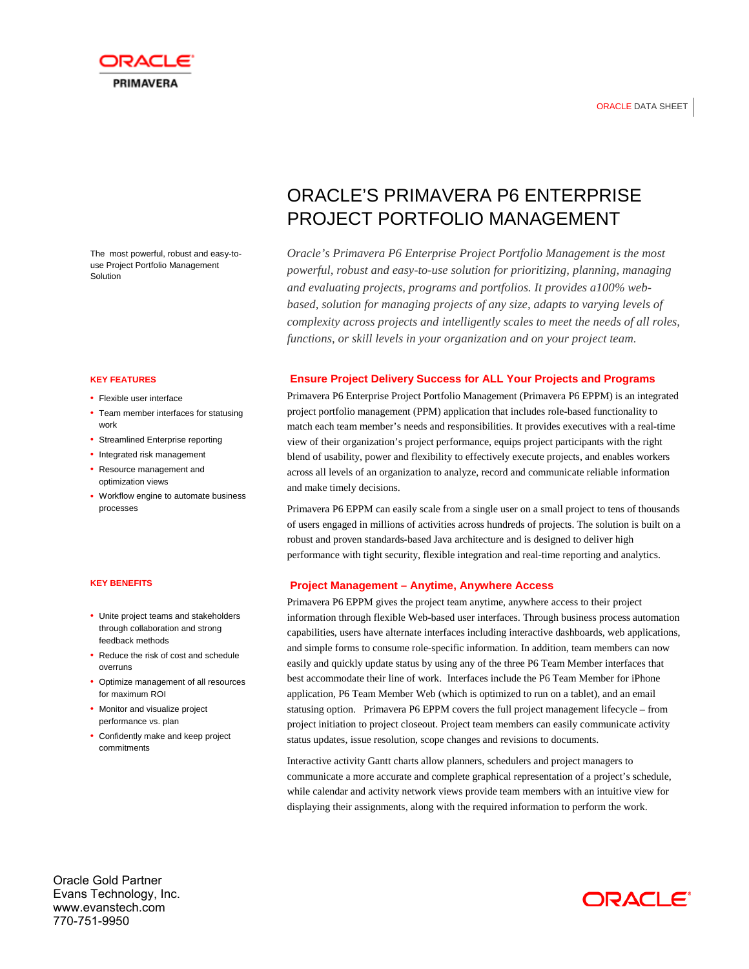



The most powerful, robust and easy-touse Project Portfolio Management Solution

### **KEY FEATURES**

- Flexible user interface
- Team member interfaces for statusing work
- Streamlined Enterprise reporting
- Integrated risk management
- Resource management and optimization views
- Workflow engine to automate business processes

#### **KEY BENEFITS**

- Unite project teams and stakeholders through collaboration and strong feedback methods
- Reduce the risk of cost and schedule overruns
- Optimize management of all resources for maximum ROI
- Monitor and visualize project performance vs. plan
- Confidently make and keep project commitments

# ORACLE'S PRIMAVERA P6 ENTERPRISE PROJECT PORTFOLIO MANAGEMENT

*Oracle's Primavera P6 Enterprise Project Portfolio Management is the most powerful, robust and easy-to-use solution for prioritizing, planning, managing and evaluating projects, programs and portfolios. It provides a100% webbased, solution for managing projects of any size, adapts to varying levels of complexity across projects and intelligently scales to meet the needs of all roles, functions, or skill levels in your organization and on your project team.* 

## **Ensure Project Delivery Success for ALL Your Projects and Programs**

Primavera P6 Enterprise Project Portfolio Management (Primavera P6 EPPM) is an integrated project portfolio management (PPM) application that includes role-based functionality to match each team member's needs and responsibilities. It provides executives with a real-time view of their organization's project performance, equips project participants with the right blend of usability, power and flexibility to effectively execute projects, and enables workers across all levels of an organization to analyze, record and communicate reliable information and make timely decisions.

Primavera P6 EPPM can easily scale from a single user on a small project to tens of thousands of users engaged in millions of activities across hundreds of projects. The solution is built on a robust and proven standards-based Java architecture and is designed to deliver high performance with tight security, flexible integration and real-time reporting and analytics.

## **Project Management – Anytime, Anywhere Access**

Primavera P6 EPPM gives the project team anytime, anywhere access to their project information through flexible Web-based user interfaces. Through business process automation capabilities, users have alternate interfaces including interactive dashboards, web applications, and simple forms to consume role-specific information. In addition, team members can now easily and quickly update status by using any of the three P6 Team Member interfaces that best accommodate their line of work. Interfaces include the P6 Team Member for iPhone application, P6 Team Member Web (which is optimized to run on a tablet), and an email statusing option. Primavera P6 EPPM covers the full project management lifecycle – from project initiation to project closeout. Project team members can easily communicate activity status updates, issue resolution, scope changes and revisions to documents.

Interactive activity Gantt charts allow planners, schedulers and project managers to communicate a more accurate and complete graphical representation of a project's schedule, while calendar and activity network views provide team members with an intuitive view for displaying their assignments, along with the required information to perform the work.

Oracle Gold Partner Evans Technology, Inc. www.evanstech.com 770-751-9950

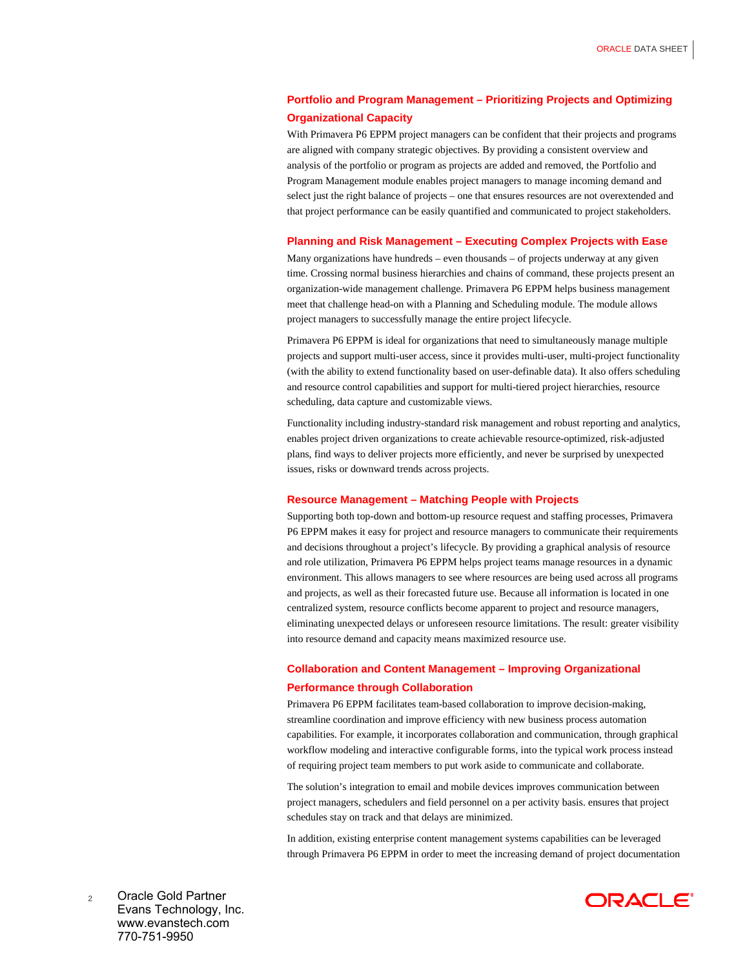# **Portfolio and Program Management – Prioritizing Projects and Optimizing Organizational Capacity**

With Primavera P6 EPPM project managers can be confident that their projects and programs are aligned with company strategic objectives. By providing a consistent overview and analysis of the portfolio or program as projects are added and removed, the Portfolio and Program Management module enables project managers to manage incoming demand and select just the right balance of projects – one that ensures resources are not overextended and that project performance can be easily quantified and communicated to project stakeholders.

### **Planning and Risk Management – Executing Complex Projects with Ease**

Many organizations have hundreds – even thousands – of projects underway at any given time. Crossing normal business hierarchies and chains of command, these projects present an organization-wide management challenge. Primavera P6 EPPM helps business management meet that challenge head-on with a Planning and Scheduling module. The module allows project managers to successfully manage the entire project lifecycle.

Primavera P6 EPPM is ideal for organizations that need to simultaneously manage multiple projects and support multi-user access, since it provides multi-user, multi-project functionality (with the ability to extend functionality based on user-definable data). It also offers scheduling and resource control capabilities and support for multi-tiered project hierarchies, resource scheduling, data capture and customizable views.

Functionality including industry-standard risk management and robust reporting and analytics, enables project driven organizations to create achievable resource-optimized, risk-adjusted plans, find ways to deliver projects more efficiently, and never be surprised by unexpected issues, risks or downward trends across projects.

#### **Resource Management – Matching People with Projects**

Supporting both top-down and bottom-up resource request and staffing processes, Primavera P6 EPPM makes it easy for project and resource managers to communicate their requirements and decisions throughout a project's lifecycle. By providing a graphical analysis of resource and role utilization, Primavera P6 EPPM helps project teams manage resources in a dynamic environment. This allows managers to see where resources are being used across all programs and projects, as well as their forecasted future use. Because all information is located in one centralized system, resource conflicts become apparent to project and resource managers, eliminating unexpected delays or unforeseen resource limitations. The result: greater visibility into resource demand and capacity means maximized resource use.

# **Collaboration and Content Management – Improving Organizational Performance through Collaboration**

Primavera P6 EPPM facilitates team-based collaboration to improve decision-making, streamline coordination and improve efficiency with new business process automation capabilities. For example, it incorporates collaboration and communication, through graphical workflow modeling and interactive configurable forms, into the typical work process instead of requiring project team members to put work aside to communicate and collaborate.

The solution's integration to email and mobile devices improves communication between project managers, schedulers and field personnel on a per activity basis. ensures that project schedules stay on track and that delays are minimized.

In addition, existing enterprise content management systems capabilities can be leveraged through Primavera P6 EPPM in order to meet the increasing demand of project documentation

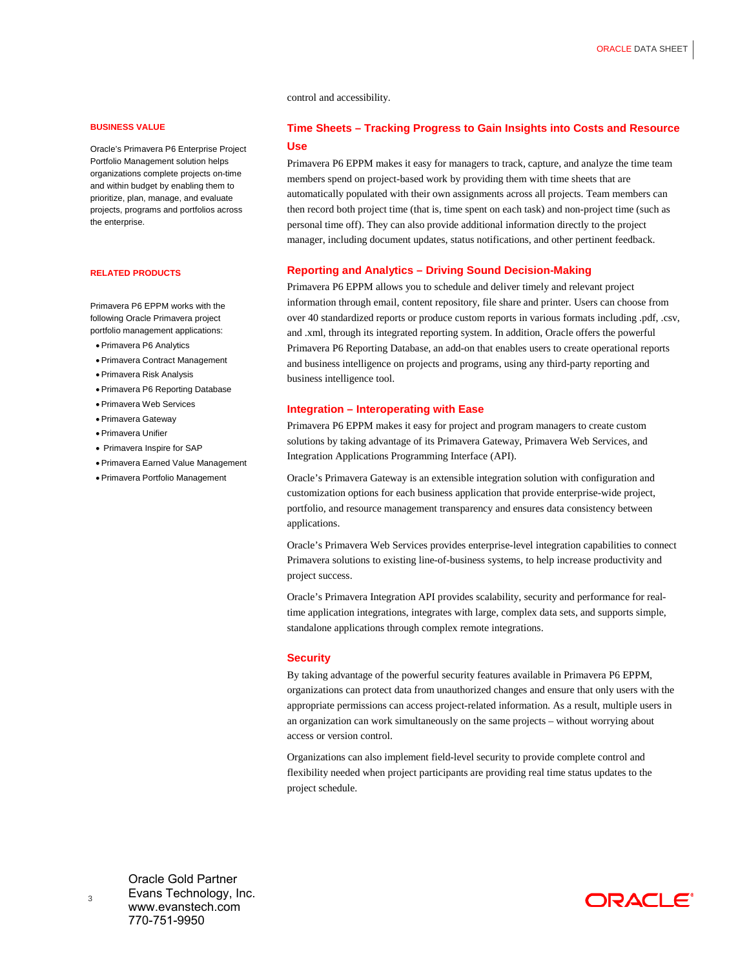control and accessibility.

### **BUSINESS VALUE**

Oracle's Primavera P6 Enterprise Project Portfolio Management solution helps organizations complete projects on-time and within budget by enabling them to prioritize, plan, manage, and evaluate projects, programs and portfolios across the enterprise.

#### **RELATED PRODUCTS**

Primavera P6 EPPM works with the following Oracle Primavera project portfolio management applications:

- Primavera P6 Analytics
- Primavera Contract Management
- Primavera Risk Analysis
- Primavera P6 Reporting Database
- Primavera Web Services
- Primavera Gateway
- Primavera Unifier
- Primavera Inspire for SAP
- Primavera Earned Value Management
- Primavera Portfolio Management

# **Time Sheets – Tracking Progress to Gain Insights into Costs and Resource Use**

Primavera P6 EPPM makes it easy for managers to track, capture, and analyze the time team members spend on project-based work by providing them with time sheets that are automatically populated with their own assignments across all projects. Team members can then record both project time (that is, time spent on each task) and non-project time (such as personal time off). They can also provide additional information directly to the project manager, including document updates, status notifications, and other pertinent feedback.

### **Reporting and Analytics – Driving Sound Decision-Making**

Primavera P6 EPPM allows you to schedule and deliver timely and relevant project information through email, content repository, file share and printer. Users can choose from over 40 standardized reports or produce custom reports in various formats including .pdf, .csv, and .xml, through its integrated reporting system. In addition, Oracle offers the powerful Primavera P6 Reporting Database, an add-on that enables users to create operational reports and business intelligence on projects and programs, using any third-party reporting and business intelligence tool.

#### **Integration – Interoperating with Ease**

Primavera P6 EPPM makes it easy for project and program managers to create custom solutions by taking advantage of its Primavera Gateway, Primavera Web Services, and Integration Applications Programming Interface (API).

Oracle's Primavera Gateway is an extensible integration solution with configuration and customization options for each business application that provide enterprise-wide project, portfolio, and resource management transparency and ensures data consistency between applications.

Oracle's Primavera Web Services provides enterprise-level integration capabilities to connect Primavera solutions to existing line-of-business systems, to help increase productivity and project success.

Oracle's Primavera Integration API provides scalability, security and performance for realtime application integrations, integrates with large, complex data sets, and supports simple, standalone applications through complex remote integrations.

#### **Security**

By taking advantage of the powerful security features available in Primavera P6 EPPM, organizations can protect data from unauthorized changes and ensure that only users with the appropriate permissions can access project-related information. As a result, multiple users in an organization can work simultaneously on the same projects – without worrying about access or version control.

Organizations can also implement field-level security to provide complete control and flexibility needed when project participants are providing real time status updates to the project schedule.

Oracle Gold Partner Evans Technology, Inc. www.evanstech.com 770-751-9950

3